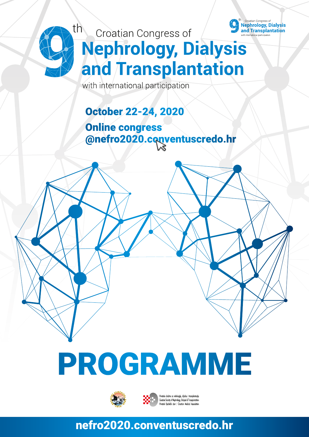

## th<br>Croatian Congress of **Nephrology, Dialysis** and Transplantation

with international participation

## October 22-24, 2020

Online congress @nefro2020.conventuscredo.hr

# PROGRAMME



društvo za nefrologiju, dijalizu i transplantaciji Croatian Society of Nephrology, Dialysis & Transplantatio

#### nefro2020.conventuscredo.hr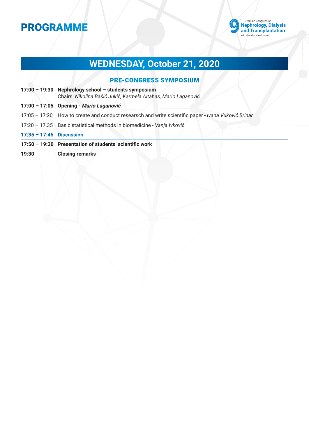

## **WEDNESDAY, October 21, 2020**

#### PRE-CONGRESS SYMPOSIUM

|                            | 17:00 - 19:30 Nephrology school - students symposium<br>Chairs: Nikolina Bašić Jukić, Karmela Altabas, Mario Laganović |  |  |
|----------------------------|------------------------------------------------------------------------------------------------------------------------|--|--|
|                            | 17:00 - 17:05 Opening - Mario Laganović                                                                                |  |  |
|                            | 17:05 - 17:20 How to create and conduct researsch and write scientific paper - Ivana Vuković Brinar                    |  |  |
|                            | 17:20 - 17.35 Basic statistical methods in biomedicine - Vanja Ivković                                                 |  |  |
| $17:35 - 17:45$ Discussion |                                                                                                                        |  |  |
|                            | 17:50 - 19:30 Presentation of students' scientific work                                                                |  |  |
| 19:30                      | <b>Closing remarks</b>                                                                                                 |  |  |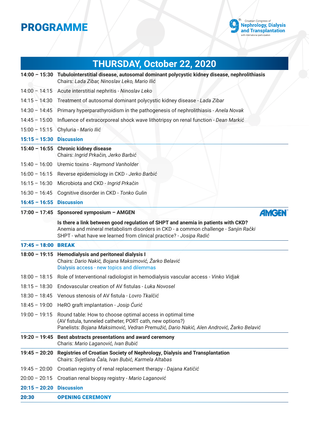

|                          | <b>THURSDAY, October 22, 2020</b>                                                                                                                                                                                                            |
|--------------------------|----------------------------------------------------------------------------------------------------------------------------------------------------------------------------------------------------------------------------------------------|
|                          | 14:00 - 15:30 Tubulointerstitial disease, autosomal dominant polycystic kidney disease, nephrolithiasis<br>Chairs: Lada Zibar, Ninoslav Leko, Mario Ilić                                                                                     |
| $14:00 - 14:15$          | Acute interstitial nephritis - Ninoslav Leko                                                                                                                                                                                                 |
| $14:15 - 14:30$          | Treatment of autosomal dominant polycystic kidney disease - Lada Zibar                                                                                                                                                                       |
| $14:30 - 14:45$          | Primary hyperparathyroidism in the pathogenesis of nephrolithiasis - Anela Novak                                                                                                                                                             |
| $14:45 - 15:00$          | Influence of extracorporeal shock wave lithotripsy on renal function - Dean Markić                                                                                                                                                           |
| $15:00 - 15:15$          | Chyluria - Mario Ilić                                                                                                                                                                                                                        |
| $15:15 - 15:30$          | <b>Discussion</b>                                                                                                                                                                                                                            |
|                          | 15:40 - 16:55 Chronic kidney disease<br>Chairs: Ingrid Prkačin, Jerko Barbić                                                                                                                                                                 |
| $15:40 - 16:00$          | Uremic toxins - Raymond Vanholder                                                                                                                                                                                                            |
| $16:00 - 16:15$          | Reverse epidemiology in CKD - Jerko Barbić                                                                                                                                                                                                   |
| $16:15 - 16:30$          | Microbiota and CKD - Ingrid Prkačin                                                                                                                                                                                                          |
| $16:30 - 16:45$          | Cognitive disorder in CKD - Tonko Gulin                                                                                                                                                                                                      |
| 16:45 - 16:55 Discussion |                                                                                                                                                                                                                                              |
|                          | 17:00 - 17:45 Sponsored symposium - AMGEN<br><b><i>AMGEN</i></b>                                                                                                                                                                             |
|                          | Is there a link between good regulation of SHPT and anemia in patients with CKD?<br>Anemia and mineral metabolism disorders in CKD - a common challenge - Sanjin Rački<br>SHPT - what have we learned from clinical practice? - Josipa Radić |
| 17:45 - 18:00 BREAK      |                                                                                                                                                                                                                                              |
|                          | 18:00 - 19:15 Hemodialysis and peritoneal dialysis I<br>Chairs: Dario Nakić, Bojana Maksimović, Žarko Belavić<br>Dialysis access - new topics and dilemmas                                                                                   |
| $18:00 - 18:15$          | Role of Interventional radiologist in hemodialysis vascular access - Vinko Vidjak                                                                                                                                                            |
| $18:15 - 18:30$          | Endovascular creation of AV fistulas - Luka Novosel                                                                                                                                                                                          |
|                          | 18:30 - 18:45 Venous stenosis of AV fistula - Lovro Tkalčić                                                                                                                                                                                  |
| $18:45 - 19:00$          | HeRO graft implantation - Josip Curić                                                                                                                                                                                                        |
| $19:00 - 19:15$          | Round table: How to choose optimal access in optimal time<br>(AV fistula, tunneled catheter, PORT cath, new options?)<br>Panelists: Bojana Maksimović, Vedran Premužić, Dario Nakić, Alen Andrović, Žarko Belavić                            |
|                          | 19:20 - 19:45 Best abstracts presentations and award ceremony<br>Charis: Mario Laganović, Ivan Bubić                                                                                                                                         |
|                          | 19:45 - 20:20 Registries of Croatian Society of Nephrology, Dialysis and Transplantation<br>Chairs: Svjetlana Čala, Ivan Bubić, Karmela Altabas                                                                                              |
| $19:45 - 20:00$          | Croatian registry of renal replacement therapy - Dajana Katičić                                                                                                                                                                              |
| $20:00 - 20:15$          | Croatian renal biopsy registry - Mario Laganović                                                                                                                                                                                             |
| $20:15 - 20:20$          | <b>Discussion</b>                                                                                                                                                                                                                            |
| 20:30                    | <b>OPENING CEREMONY</b>                                                                                                                                                                                                                      |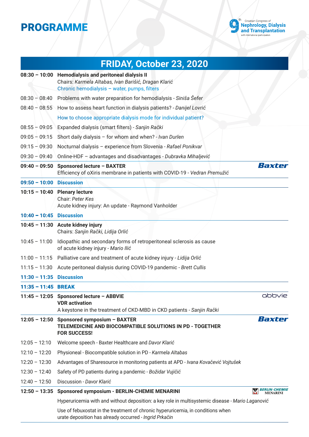

|                            | FRIDAY, October 23, 2020                                                                                                                                      |                                                |
|----------------------------|---------------------------------------------------------------------------------------------------------------------------------------------------------------|------------------------------------------------|
|                            | 08:30 - 10:00 Hemodialysis and peritoneal dialysis II<br>Chairs: Karmela Altabas, Ivan Barišić, Dragan Klarić<br>Chronic hemodialysis - water, pumps, filters |                                                |
| $08:30 - 08:40$            | Problems with water preparation for hemodialysis - Siniša Šefer                                                                                               |                                                |
|                            | 08:40 - 08:55 How to assess heart function in dialysis patients? - Danijel Lovrić                                                                             |                                                |
|                            | How to choose appropriate dialysis mode for individual patient?                                                                                               |                                                |
| $08:55 - 09:05$            | Expanded dialysis (smart filters) - Sanjin Rački                                                                                                              |                                                |
| $09:05 - 09:15$            | Short daily dialysis - for whom and when? - Ivan Durlen                                                                                                       |                                                |
| $09:15 - 09:30$            | Nocturnal dialysis - experience from Slovenia - Rafael Ponikvar                                                                                               |                                                |
| $09:30 - 09:40$            | Online-HDF - advantages and disadvantages - Dubravka Mihaljević                                                                                               |                                                |
| $09:40 - 09:50$            | <b>Sponsored lecture - BAXTER</b><br>Efficiency of oXiris membrane in patients with COVID-19 - Vedran Premužić                                                | Baxter                                         |
| $09:50 - 10:00$            | <b>Discussion</b>                                                                                                                                             |                                                |
|                            | 10:15 - 10:40 Plenary lecture<br>Chair: Peter Kes<br>Acute kidney injury: An update - Raymond Vanholder                                                       |                                                |
| $10:40 - 10:45$ Discussion |                                                                                                                                                               |                                                |
|                            | 10:45 - 11:30 Acute kidney injury<br>Chairs: Sanjin Rački, Lidija Orlić                                                                                       |                                                |
| $10:45 - 11:00$            | Idiopathic and secondary forms of retroperitoneal sclerosis as cause<br>of acute kidney injury - Mario Ilić                                                   |                                                |
| $11:00 - 11:15$            | Palliative care and treatment of acute kidney injury - Lidija Orlić                                                                                           |                                                |
| $11:15 - 11:30$            | Acute peritoneal dialysis during COVID-19 pandemic - Brett Cullis                                                                                             |                                                |
| $11:30 - 11:35$ Discussion |                                                                                                                                                               |                                                |
| 11:35 - 11:45 BREAK        |                                                                                                                                                               |                                                |
|                            | 11:45 - 12:05 Sponsored lecture - ABBVIE<br><b>VDR</b> activation<br>A keystone in the treatment of CKD-MBD in CKD patients - Sanjin Rački                    | abbvie                                         |
|                            | 12:05 - 12:50 Sponsored symposium - BAXTER<br>TELEMEDICINE AND BIOCOMPATIBLE SOLUTIONS IN PD - TOGETHER<br><b>FOR SUCCESS!</b>                                | Baxter                                         |
| $12:05 - 12:10$            | Welcome speech - Baxter Healthcare and Davor Klarić                                                                                                           |                                                |
| $12:10 - 12:20$            | Physioneal - Biocompatible solution in PD - Karmela Altabas                                                                                                   |                                                |
| $12:20 - 12:30$            | Advantages of Sharesource in monitoring patients at APD - Ivana Kovačević Vojtušek                                                                            |                                                |
| $12:30 - 12:40$            | Safety of PD patients during a pandemic - Božidar Vujičić                                                                                                     |                                                |
| $12:40 - 12:50$            | Discussion - Davor Klarić                                                                                                                                     |                                                |
| $12:50 - 13:35$            | <b>Sponsored symposium - BERLIN-CHEMIE MENARINI</b>                                                                                                           | <i><b>BERLIN-CHEMIE</b></i><br><b>MENARINI</b> |
|                            | Hyperuricemia with and without deposition: a key role in multisystemic disease - Mario Laganović                                                              |                                                |
|                            | Use of febuxostat in the treatment of chronic hyperuricemia, in conditions when<br>urate deposition has already occurred - Ingrid Prkačin                     |                                                |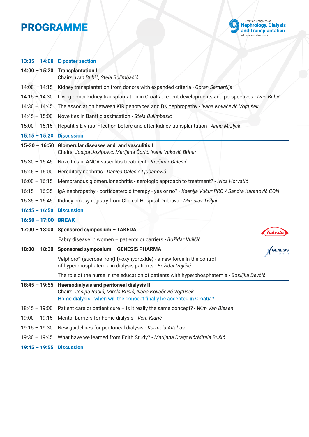

#### **13:35 – 14:00 E-poster section**

|                          | 14:00 $-15:20$ Transplantation I<br>Chairs: Ivan Bubić, Stela Bulimbašić                                                                                                           |  |  |  |
|--------------------------|------------------------------------------------------------------------------------------------------------------------------------------------------------------------------------|--|--|--|
| $14:00 - 14:15$          | Kidney transplantation from donors with expanded criteria - Goran Samaržija                                                                                                        |  |  |  |
| $14:15 - 14:30$          | Living donor kidney transplantation in Croatia: recent developments and perspectives - Ivan Bubić                                                                                  |  |  |  |
|                          | 14:30 - 14:45 The association between KIR genotypes and BK nephropathy - Ivana Kovačević Vojtušek                                                                                  |  |  |  |
| $14:45 - 15:00$          | Novelties in Banff classification - Stela Bulimbašić                                                                                                                               |  |  |  |
| $15:00 - 15:15$          | Hepatitis E virus infection before and after kidney transplantation - Anna Mrzljak                                                                                                 |  |  |  |
| $15:15 - 15:20$          | <b>Discussion</b>                                                                                                                                                                  |  |  |  |
|                          | 15-30 - 16:50 Glomerular diseases and and vasculitis I<br>Chairs: Josipa Josipović, Marijana Ćorić, Ivana Vuković Brinar                                                           |  |  |  |
| $15:30 - 15:45$          | Novelties in ANCA vasculitis treatment - Krešimir Galešić                                                                                                                          |  |  |  |
| $15:45 - 16:00$          | Hereditary nephritis - Danica Galešić Ljubanović                                                                                                                                   |  |  |  |
| $16:00 - 16:15$          | Membranous glomerulonephritis - serologic approach to treatment? - Ivica Horvatić                                                                                                  |  |  |  |
| $16:15 - 16:35$          | IgA nephropathy - corticosteroid therapy - yes or no? - Ksenija Vučur PRO / Sandra Karanović CON                                                                                   |  |  |  |
| $16:35 - 16:45$          | Kidney biopsy registry from Clinical Hospital Dubrava - Miroslav Tišljar                                                                                                           |  |  |  |
| $16:45 - 16:50$          | <b>Discussion</b>                                                                                                                                                                  |  |  |  |
| 16:50 - 17:00 BREAK      |                                                                                                                                                                                    |  |  |  |
|                          | 17:00 - 18:00 Sponsored symposium - TAKEDA                                                                                                                                         |  |  |  |
|                          | Fabry disease in women - patients or carriers - Božidar Vujičić                                                                                                                    |  |  |  |
|                          | 18:00 - 18:30 Sponsored symposium - GENESIS PHARMA<br><b>GENESIS</b>                                                                                                               |  |  |  |
|                          | Velphoro® (sucrose iron(III)-oxyhydroxide) - a new force in the control<br>of hyperphosphatemia in dialysis patients - Božidar Vujičić                                             |  |  |  |
|                          | The role of the nurse in the education of patients with hyperphosphatemia - Bosiljka Devčić                                                                                        |  |  |  |
| $18:45 - 19:55$          | Haemodialysis and peritoneal dialysis III<br>Chairs: Josipa Radić, Mirela Bušić, Ivana Kovačević Vojtušek<br>Home dialysis - when will the concept finally be accepted in Croatia? |  |  |  |
| $18:45 - 19:00$          | Patient care or patient cure $-$ is it really the same concept? - Wim Van Biesen                                                                                                   |  |  |  |
| $19:00 - 19:15$          | Mental barriers for home dialysis - Vera Klarić                                                                                                                                    |  |  |  |
| $19:15 - 19:30$          | New guidelines for peritoneal dialysis - Karmela Altabas                                                                                                                           |  |  |  |
| $19:30 - 19:45$          | What have we learned from Edith Study? - Marijana Dragović/Mirela Bušić                                                                                                            |  |  |  |
| 19:45 - 19:55 Discussion |                                                                                                                                                                                    |  |  |  |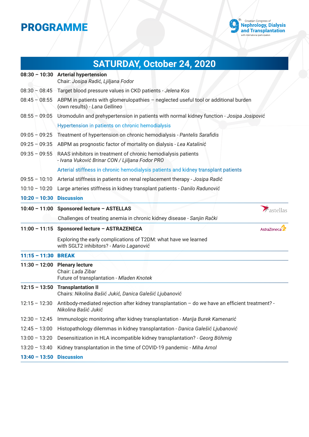

|                          | SATURDAY, October 24, 2020                                                                                                         |  |  |  |
|--------------------------|------------------------------------------------------------------------------------------------------------------------------------|--|--|--|
|                          | $08:30 - 10:30$ Arterial hypertension<br>Chair: Josipa Radić, Ljiljana Fodor                                                       |  |  |  |
|                          | 08:30 - 08:45 Target blood pressure values in CKD patients - Jelena Kos                                                            |  |  |  |
|                          | 08:45 - 08:55 ABPM in patients with glomerulopathies - neglected useful tool or additional burden<br>(own results) - Lana Gellineo |  |  |  |
| $08:55 - 09:05$          | Uromodulin and prehypertension in patients with normal kidney function - Josipa Josipović                                          |  |  |  |
|                          | Hypertension in patients on chronic hemodialysis                                                                                   |  |  |  |
| $09:05 - 09:25$          | Treatment of hypertension on chronic hemodialysis - Pantelis Sarafidis                                                             |  |  |  |
| $09:25 - 09:35$          | ABPM as prognostic factor of mortality on dialysis - Lea Katalinić                                                                 |  |  |  |
| $09:35 - 09:55$          | RAAS inhibitors in treatment of chronic hemodialysis patients<br>- Ivana Vuković Brinar CON / Ljiljana Fodor PRO                   |  |  |  |
|                          | Arterial stiffness in chronic hemodialysis patients and kidney transplant patients                                                 |  |  |  |
| $09:55 - 10:10$          | Arterial stiffness in patients on renal replacement therapy - Josipa Radić                                                         |  |  |  |
| $10:10 - 10:20$          | Large arteries stiffness in kidney transplant patients - Danilo Radunović                                                          |  |  |  |
| 10:20 - 10:30 Discussion |                                                                                                                                    |  |  |  |
|                          | 10:40 - 11:00 Sponsored lecture - ASTELLAS<br>Aastellas                                                                            |  |  |  |
|                          | Challenges of treating anemia in chronic kidney disease - Sanjin Rački                                                             |  |  |  |
|                          | 11:00 - 11:15 Sponsored lecture - ASTRAZENECA<br>AstraZeneca                                                                       |  |  |  |
|                          | Exploring the early complications of T2DM: what have we learned<br>with SGLT2 inhibitors? - Mario Laganović                        |  |  |  |
| 11:15 - 11:30 BREAK      |                                                                                                                                    |  |  |  |
|                          | 11:30 - 12:00 Plenary lecture<br>Chair: Lada Zibar<br>Future of transplantation - Mladen Knotek                                    |  |  |  |
|                          | 12:15 - 13:50 Transplantation II<br>Chairs: Nikolina Bašić Jukić, Danica Galešić Ljubanović                                        |  |  |  |
| $12:15 - 12:30$          | Antibody-mediated rejection after kidney transplantation - do we have an efficient treatment? -<br>Nikolina Bašić Jukić            |  |  |  |
| $12:30 - 12:45$          | Immunologic monitoring after kidney transplantation - Marija Burek Kamenarić                                                       |  |  |  |
|                          | Histopathology dilemmas in kidney transplantation - Danica Galešić Ljubanović                                                      |  |  |  |
| $12:45 - 13:00$          |                                                                                                                                    |  |  |  |
| $13:00 - 13:20$          | Desensitization in HLA incompatible kidney transplantation? - Georg Böhmig                                                         |  |  |  |
| $13:20 - 13:40$          | Kidney transplantation in the time of COVID-19 pandemic - Miha Arnol                                                               |  |  |  |